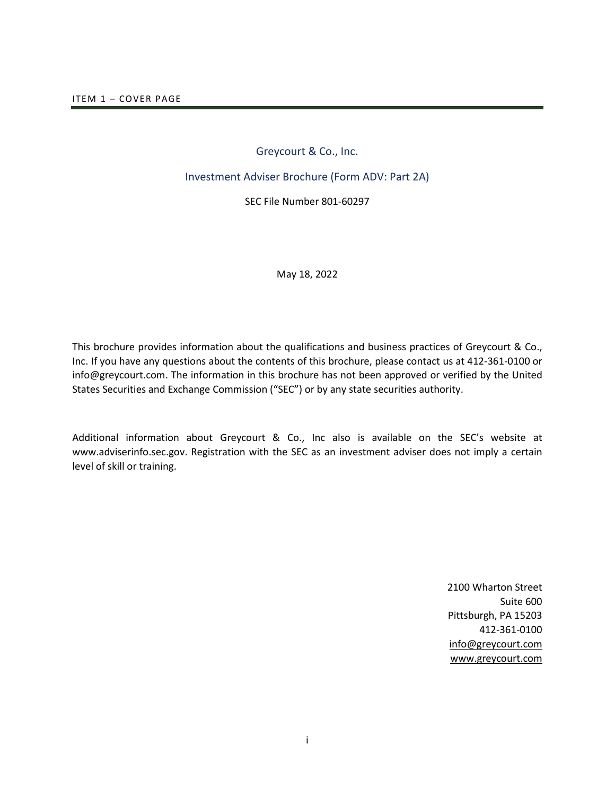# Greycourt & Co., Inc.

## <span id="page-0-0"></span>Investment Adviser Brochure (Form ADV: Part 2A)

SEC File Number 801-60297

#### May 18, 2022

This brochure provides information about the qualifications and business practices of Greycourt & Co., Inc. If you have any questions about the contents of this brochure, please contact us at 412-361-0100 or info@greycourt.com. The information in this brochure has not been approved or verified by the United States Securities and Exchange Commission ("SEC") or by any state securities authority.

Additional information about Greycourt & Co., Inc also is available on the SEC's website at [www.adviserinfo.sec.gov.](http://www.adviserinfo.sec.gov/) Registration with the SEC as an investment adviser does not imply a certain level of skill or training.

> 2100 Wharton Street Suite 600 Pittsburgh, PA 15203 412-361-0100 [info@greycourt.com](mailto:info@greycourt.com) [www.greycourt.com](http://www.greycourt.com/)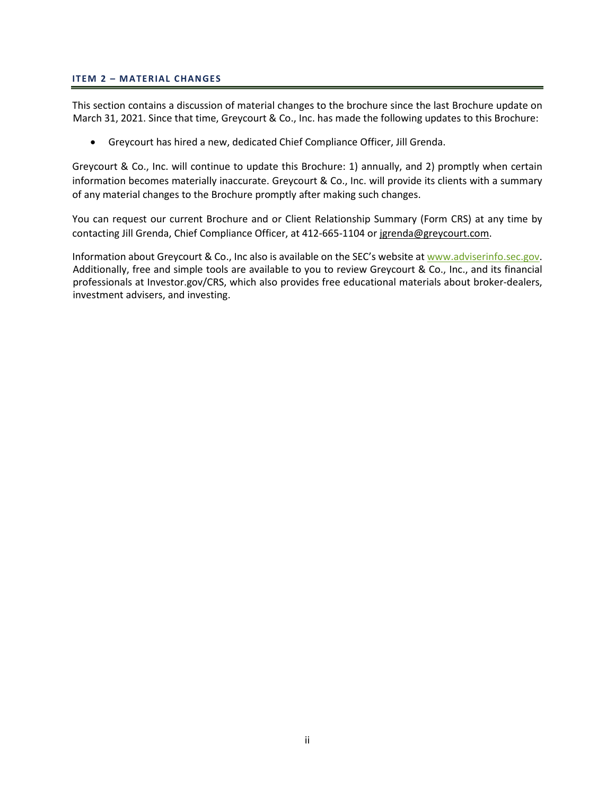### <span id="page-1-0"></span>**ITEM 2 – MATERIAL CHANGES**

This section contains a discussion of material changes to the brochure since the last Brochure update on March 31, 2021. Since that time, Greycourt & Co., Inc. has made the following updates to this Brochure:

• Greycourt has hired a new, dedicated Chief Compliance Officer, Jill Grenda.

Greycourt & Co., Inc. will continue to update this Brochure: 1) annually, and 2) promptly when certain information becomes materially inaccurate. Greycourt & Co., Inc. will provide its clients with a summary of any material changes to the Brochure promptly after making such changes.

You can request our current Brochure and or Client Relationship Summary (Form CRS) at any time by contacting Jill Grenda, Chief Compliance Officer, at 412-665-1104 or jgrenda@greycourt.com.

Information about Greycourt & Co., Inc also is available on the SEC's website a[t www.adviserinfo.sec.gov.](http://www.adviserinfo.sec.gov/) Additionally, free and simple tools are available to you to review Greycourt & Co., Inc., and its financial professionals at Investor.gov/CRS, which also provides free educational materials about broker-dealers, investment advisers, and investing.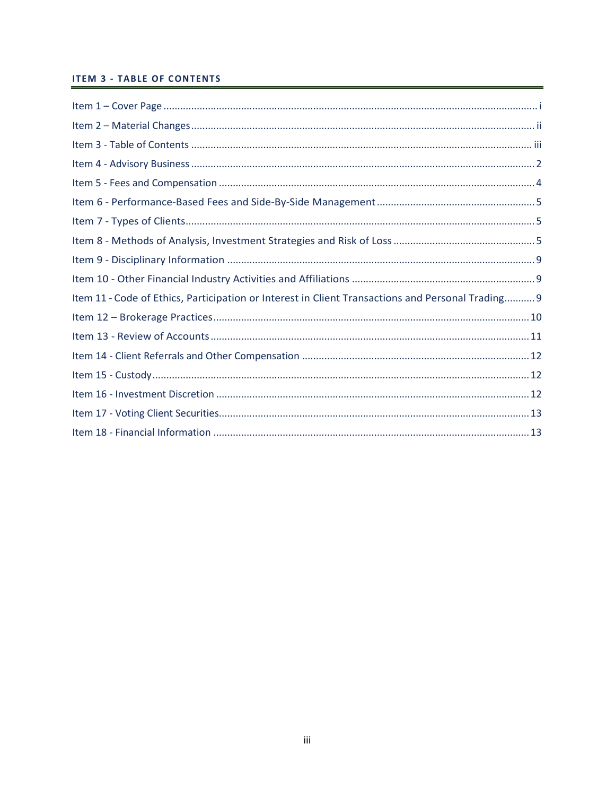# <span id="page-2-0"></span>**ITEM 3 - TABLE OF CONTENTS**

| Item 11 - Code of Ethics, Participation or Interest in Client Transactions and Personal Trading 9 |
|---------------------------------------------------------------------------------------------------|
|                                                                                                   |
|                                                                                                   |
|                                                                                                   |
|                                                                                                   |
|                                                                                                   |
|                                                                                                   |
|                                                                                                   |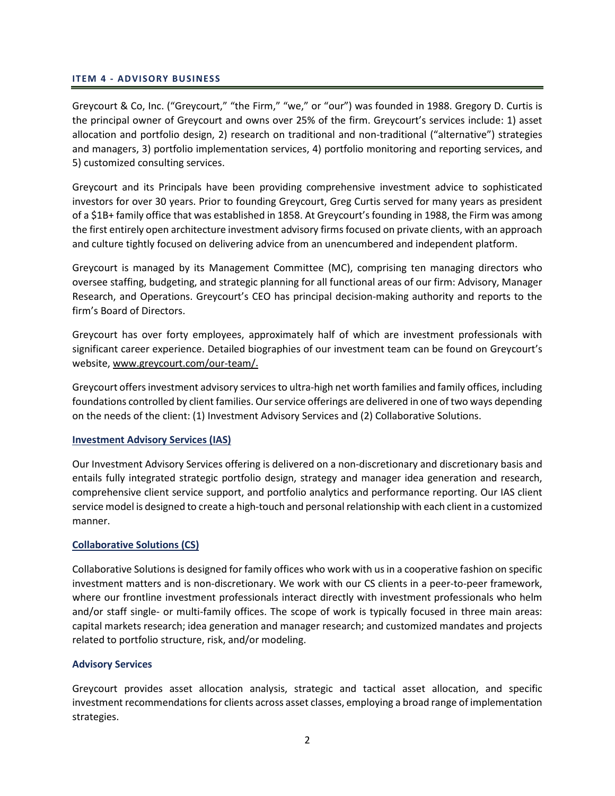### <span id="page-3-0"></span>**ITEM 4 - ADVISORY BUSINESS**

Greycourt & Co, Inc. ("Greycourt," "the Firm," "we," or "our") was founded in 1988. Gregory D. Curtis is the principal owner of Greycourt and owns over 25% of the firm. Greycourt's services include: 1) asset allocation and portfolio design, 2) research on traditional and non-traditional ("alternative") strategies and managers, 3) portfolio implementation services, 4) portfolio monitoring and reporting services, and 5) customized consulting services.

Greycourt and its Principals have been providing comprehensive investment advice to sophisticated investors for over 30 years. Prior to founding Greycourt, Greg Curtis served for many years as president of a \$1B+ family office that was established in 1858. At Greycourt's founding in 1988, the Firm was among the first entirely open architecture investment advisory firms focused on private clients, with an approach and culture tightly focused on delivering advice from an unencumbered and independent platform.

Greycourt is managed by its Management Committee (MC), comprising ten managing directors who oversee staffing, budgeting, and strategic planning for all functional areas of our firm: Advisory, Manager Research, and Operations. Greycourt's CEO has principal decision-making authority and reports to the firm's Board of Directors.

Greycourt has over forty employees, approximately half of which are investment professionals with significant career experience. Detailed biographies of our investment team can be found on Greycourt's website, [www.greycourt.com/our-team/.](http://www.greycourt.com/our-team/)

Greycourt offers investment advisory services to ultra-high net worth families and family offices, including foundations controlled by client families. Our service offerings are delivered in one of two ways depending on the needs of the client: (1) Investment Advisory Services and (2) Collaborative Solutions.

# **Investment Advisory Services (IAS)**

Our Investment Advisory Services offering is delivered on a non-discretionary and discretionary basis and entails fully integrated strategic portfolio design, strategy and manager idea generation and research, comprehensive client service support, and portfolio analytics and performance reporting. Our IAS client service model is designed to create a high-touch and personal relationship with each client in a customized manner.

# **Collaborative Solutions (CS)**

Collaborative Solutions is designed for family offices who work with us in a cooperative fashion on specific investment matters and is non-discretionary. We work with our CS clients in a peer-to-peer framework, where our frontline investment professionals interact directly with investment professionals who helm and/or staff single- or multi-family offices. The scope of work is typically focused in three main areas: capital markets research; idea generation and manager research; and customized mandates and projects related to portfolio structure, risk, and/or modeling.

# **Advisory Services**

Greycourt provides asset allocation analysis, strategic and tactical asset allocation, and specific investment recommendations for clients across asset classes, employing a broad range of implementation strategies.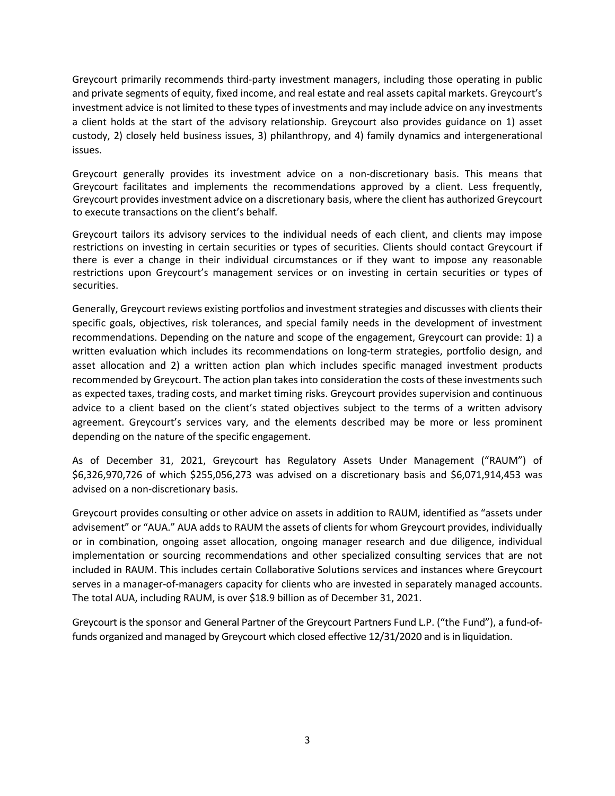Greycourt primarily recommends third-party investment managers, including those operating in public and private segments of equity, fixed income, and real estate and real assets capital markets. Greycourt's investment advice is not limited to these types of investments and may include advice on any investments a client holds at the start of the advisory relationship. Greycourt also provides guidance on 1) asset custody, 2) closely held business issues, 3) philanthropy, and 4) family dynamics and intergenerational issues.

Greycourt generally provides its investment advice on a non-discretionary basis. This means that Greycourt facilitates and implements the recommendations approved by a client. Less frequently, Greycourt provides investment advice on a discretionary basis, where the client has authorized Greycourt to execute transactions on the client's behalf.

Greycourt tailors its advisory services to the individual needs of each client, and clients may impose restrictions on investing in certain securities or types of securities. Clients should contact Greycourt if there is ever a change in their individual circumstances or if they want to impose any reasonable restrictions upon Greycourt's management services or on investing in certain securities or types of securities.

Generally, Greycourt reviews existing portfolios and investment strategies and discusses with clients their specific goals, objectives, risk tolerances, and special family needs in the development of investment recommendations. Depending on the nature and scope of the engagement, Greycourt can provide: 1) a written evaluation which includes its recommendations on long-term strategies, portfolio design, and asset allocation and 2) a written action plan which includes specific managed investment products recommended by Greycourt. The action plan takes into consideration the costs of these investments such as expected taxes, trading costs, and market timing risks. Greycourt provides supervision and continuous advice to a client based on the client's stated objectives subject to the terms of a written advisory agreement. Greycourt's services vary, and the elements described may be more or less prominent depending on the nature of the specific engagement.

As of December 31, 2021, Greycourt has Regulatory Assets Under Management ("RAUM") of \$6,326,970,726 of which \$255,056,273 was advised on a discretionary basis and \$6,071,914,453 was advised on a non-discretionary basis.

Greycourt provides consulting or other advice on assets in addition to RAUM, identified as "assets under advisement" or "AUA." AUA adds to RAUM the assets of clients for whom Greycourt provides, individually or in combination, ongoing asset allocation, ongoing manager research and due diligence, individual implementation or sourcing recommendations and other specialized consulting services that are not included in RAUM. This includes certain Collaborative Solutions services and instances where Greycourt serves in a manager-of-managers capacity for clients who are invested in separately managed accounts. The total AUA, including RAUM, is over \$18.9 billion as of December 31, 2021.

<span id="page-4-0"></span>Greycourt is the sponsor and General Partner of the Greycourt Partners Fund L.P. ("the Fund"), a fund-offunds organized and managed by Greycourt which closed effective 12/31/2020 and is in liquidation.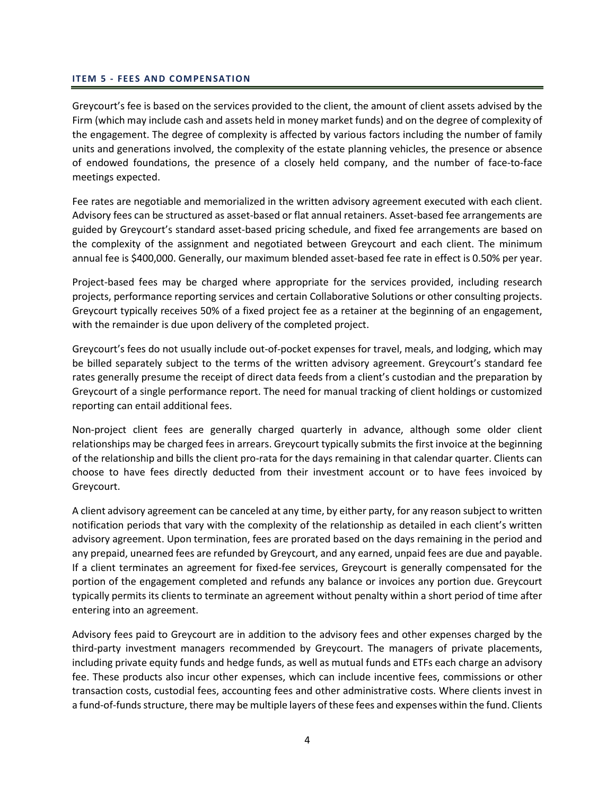#### **ITEM 5 - FEES AND COMPENSATION**

Greycourt's fee is based on the services provided to the client, the amount of client assets advised by the Firm (which may include cash and assets held in money market funds) and on the degree of complexity of the engagement. The degree of complexity is affected by various factors including the number of family units and generations involved, the complexity of the estate planning vehicles, the presence or absence of endowed foundations, the presence of a closely held company, and the number of face-to-face meetings expected.

Fee rates are negotiable and memorialized in the written advisory agreement executed with each client. Advisory fees can be structured as asset-based or flat annual retainers. Asset-based fee arrangements are guided by Greycourt's standard asset-based pricing schedule, and fixed fee arrangements are based on the complexity of the assignment and negotiated between Greycourt and each client. The minimum annual fee is \$400,000. Generally, our maximum blended asset-based fee rate in effect is 0.50% per year.

Project-based fees may be charged where appropriate for the services provided, including research projects, performance reporting services and certain Collaborative Solutions or other consulting projects. Greycourt typically receives 50% of a fixed project fee as a retainer at the beginning of an engagement, with the remainder is due upon delivery of the completed project.

Greycourt's fees do not usually include out-of-pocket expenses for travel, meals, and lodging, which may be billed separately subject to the terms of the written advisory agreement. Greycourt's standard fee rates generally presume the receipt of direct data feeds from a client's custodian and the preparation by Greycourt of a single performance report. The need for manual tracking of client holdings or customized reporting can entail additional fees.

Non-project client fees are generally charged quarterly in advance, although some older client relationships may be charged fees in arrears. Greycourt typically submits the first invoice at the beginning of the relationship and bills the client pro-rata for the days remaining in that calendar quarter. Clients can choose to have fees directly deducted from their investment account or to have fees invoiced by Greycourt.

A client advisory agreement can be canceled at any time, by either party, for any reason subject to written notification periods that vary with the complexity of the relationship as detailed in each client's written advisory agreement. Upon termination, fees are prorated based on the days remaining in the period and any prepaid, unearned fees are refunded by Greycourt, and any earned, unpaid fees are due and payable. If a client terminates an agreement for fixed-fee services, Greycourt is generally compensated for the portion of the engagement completed and refunds any balance or invoices any portion due. Greycourt typically permits its clients to terminate an agreement without penalty within a short period of time after entering into an agreement.

Advisory fees paid to Greycourt are in addition to the advisory fees and other expenses charged by the third-party investment managers recommended by Greycourt. The managers of private placements, including private equity funds and hedge funds, as well as mutual funds and ETFs each charge an advisory fee. These products also incur other expenses, which can include incentive fees, commissions or other transaction costs, custodial fees, accounting fees and other administrative costs. Where clients invest in a fund-of-funds structure, there may be multiple layers of these fees and expenses within the fund. Clients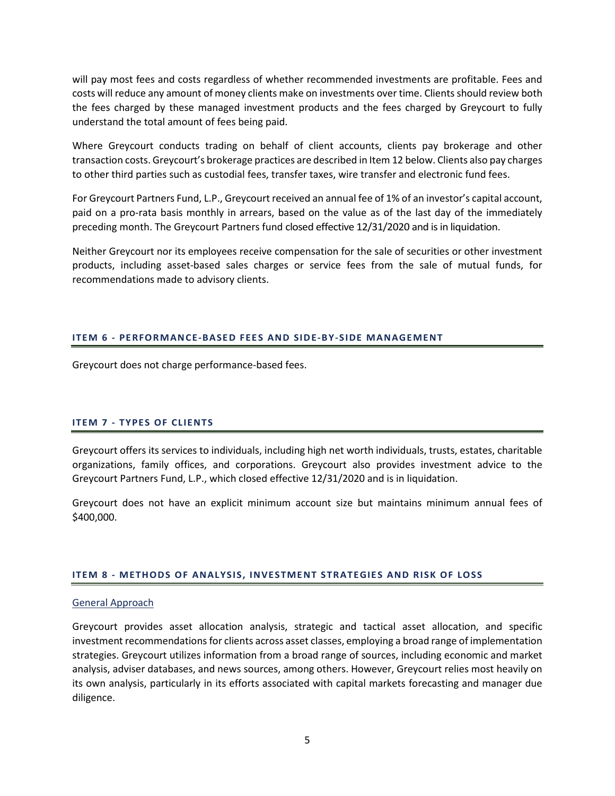will pay most fees and costs regardless of whether recommended investments are profitable. Fees and costs will reduce any amount of money clients make on investments over time. Clients should review both the fees charged by these managed investment products and the fees charged by Greycourt to fully understand the total amount of fees being paid.

Where Greycourt conducts trading on behalf of client accounts, clients pay brokerage and other transaction costs. Greycourt's brokerage practices are described in Item 12 below. Clients also pay charges to other third parties such as custodial fees, transfer taxes, wire transfer and electronic fund fees.

For Greycourt Partners Fund, L.P., Greycourt received an annual fee of 1% of an investor's capital account, paid on a pro-rata basis monthly in arrears, based on the value as of the last day of the immediately preceding month. The Greycourt Partners fund closed effective 12/31/2020 and is in liquidation.

Neither Greycourt nor its employees receive compensation for the sale of securities or other investment products, including asset-based sales charges or service fees from the sale of mutual funds, for recommendations made to advisory clients.

# <span id="page-6-0"></span>**ITEM 6 - PERFORMANCE-BASED FEES AND SIDE-BY-SIDE MANAGEMENT**

Greycourt does not charge performance-based fees.

### <span id="page-6-1"></span>**ITEM 7 - TYPES OF CLIENTS**

Greycourt offers its services to individuals, including high net worth individuals, trusts, estates, charitable organizations, family offices, and corporations. Greycourt also provides investment advice to the Greycourt Partners Fund, L.P., which closed effective 12/31/2020 and is in liquidation.

Greycourt does not have an explicit minimum account size but maintains minimum annual fees of \$400,000.

### <span id="page-6-2"></span>**ITEM 8 - METHODS OF ANALYSIS, INVESTMENT STRATEGIES AND RISK OF LOSS**

### General Approach

Greycourt provides asset allocation analysis, strategic and tactical asset allocation, and specific investment recommendations for clients across asset classes, employing a broad range of implementation strategies. Greycourt utilizes information from a broad range of sources, including economic and market analysis, adviser databases, and news sources, among others. However, Greycourt relies most heavily on its own analysis, particularly in its efforts associated with capital markets forecasting and manager due diligence.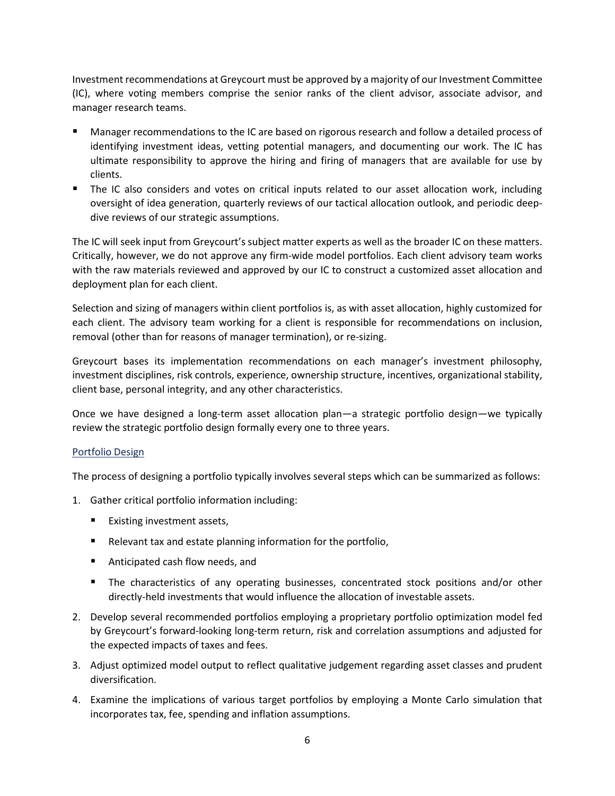Investment recommendations at Greycourt must be approved by a majority of our Investment Committee (IC), where voting members comprise the senior ranks of the client advisor, associate advisor, and manager research teams.

- Manager recommendations to the IC are based on rigorous research and follow a detailed process of identifying investment ideas, vetting potential managers, and documenting our work. The IC has ultimate responsibility to approve the hiring and firing of managers that are available for use by clients.
- The IC also considers and votes on critical inputs related to our asset allocation work, including oversight of idea generation, quarterly reviews of our tactical allocation outlook, and periodic deepdive reviews of our strategic assumptions.

The IC will seek input from Greycourt's subject matter experts as well as the broader IC on these matters. Critically, however, we do not approve any firm-wide model portfolios. Each client advisory team works with the raw materials reviewed and approved by our IC to construct a customized asset allocation and deployment plan for each client.

Selection and sizing of managers within client portfolios is, as with asset allocation, highly customized for each client. The advisory team working for a client is responsible for recommendations on inclusion, removal (other than for reasons of manager termination), or re-sizing.

Greycourt bases its implementation recommendations on each manager's investment philosophy, investment disciplines, risk controls, experience, ownership structure, incentives, organizational stability, client base, personal integrity, and any other characteristics.

Once we have designed a long-term asset allocation plan—a strategic portfolio design—we typically review the strategic portfolio design formally every one to three years.

# Portfolio Design

The process of designing a portfolio typically involves several steps which can be summarized as follows:

- 1. Gather critical portfolio information including:
	- Existing investment assets,
	- Relevant tax and estate planning information for the portfolio,
	- Anticipated cash flow needs, and
	- The characteristics of any operating businesses, concentrated stock positions and/or other directly-held investments that would influence the allocation of investable assets.
- 2. Develop several recommended portfolios employing a proprietary portfolio optimization model fed by Greycourt's forward-looking long-term return, risk and correlation assumptions and adjusted for the expected impacts of taxes and fees.
- 3. Adjust optimized model output to reflect qualitative judgement regarding asset classes and prudent diversification.
- 4. Examine the implications of various target portfolios by employing a Monte Carlo simulation that incorporates tax, fee, spending and inflation assumptions.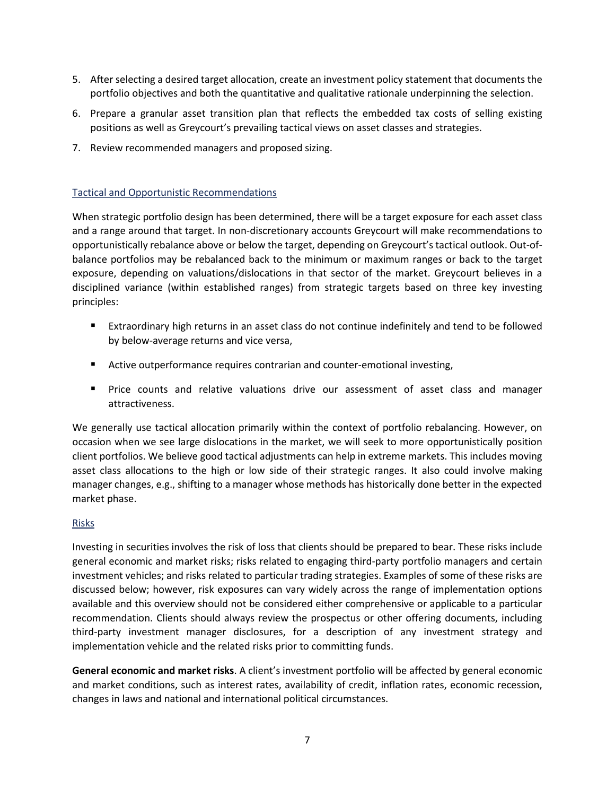- 5. After selecting a desired target allocation, create an investment policy statement that documents the portfolio objectives and both the quantitative and qualitative rationale underpinning the selection.
- 6. Prepare a granular asset transition plan that reflects the embedded tax costs of selling existing positions as well as Greycourt's prevailing tactical views on asset classes and strategies.
- 7. Review recommended managers and proposed sizing.

# Tactical and Opportunistic Recommendations

When strategic portfolio design has been determined, there will be a target exposure for each asset class and a range around that target. In non-discretionary accounts Greycourt will make recommendations to opportunistically rebalance above or below the target, depending on Greycourt's tactical outlook. Out-ofbalance portfolios may be rebalanced back to the minimum or maximum ranges or back to the target exposure, depending on valuations/dislocations in that sector of the market. Greycourt believes in a disciplined variance (within established ranges) from strategic targets based on three key investing principles:

- Extraordinary high returns in an asset class do not continue indefinitely and tend to be followed by below-average returns and vice versa,
- Active outperformance requires contrarian and counter-emotional investing,
- Price counts and relative valuations drive our assessment of asset class and manager attractiveness.

We generally use tactical allocation primarily within the context of portfolio rebalancing. However, on occasion when we see large dislocations in the market, we will seek to more opportunistically position client portfolios. We believe good tactical adjustments can help in extreme markets. This includes moving asset class allocations to the high or low side of their strategic ranges. It also could involve making manager changes, e.g., shifting to a manager whose methods has historically done better in the expected market phase.

# Risks

Investing in securities involves the risk of loss that clients should be prepared to bear. These risks include general economic and market risks; risks related to engaging third-party portfolio managers and certain investment vehicles; and risks related to particular trading strategies. Examples of some of these risks are discussed below; however, risk exposures can vary widely across the range of implementation options available and this overview should not be considered either comprehensive or applicable to a particular recommendation. Clients should always review the prospectus or other offering documents, including third-party investment manager disclosures, for a description of any investment strategy and implementation vehicle and the related risks prior to committing funds.

**General economic and market risks**. A client's investment portfolio will be affected by general economic and market conditions, such as interest rates, availability of credit, inflation rates, economic recession, changes in laws and national and international political circumstances.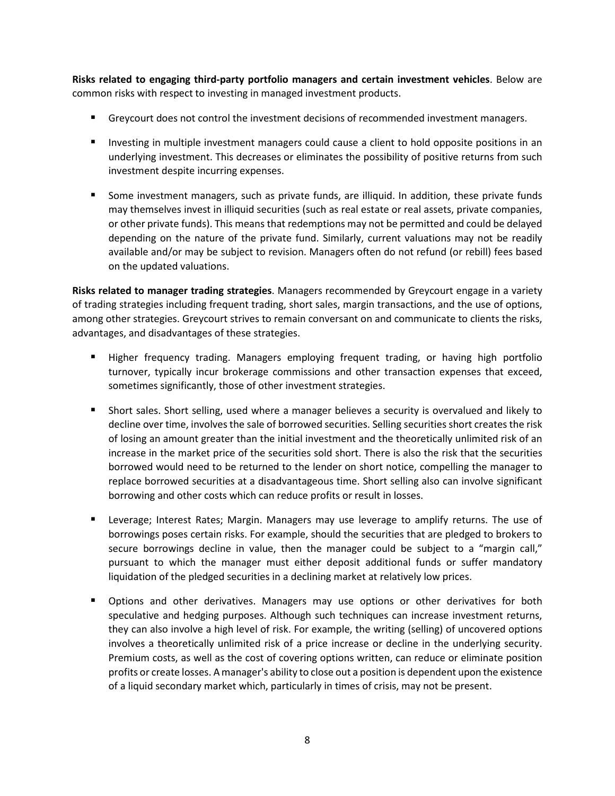**Risks related to engaging third-party portfolio managers and certain investment vehicles**. Below are common risks with respect to investing in managed investment products.

- Greycourt does not control the investment decisions of recommended investment managers.
- **Investing in multiple investment managers could cause a client to hold opposite positions in an** underlying investment. This decreases or eliminates the possibility of positive returns from such investment despite incurring expenses.
- Some investment managers, such as private funds, are illiquid. In addition, these private funds may themselves invest in illiquid securities (such as real estate or real assets, private companies, or other private funds). This means that redemptions may not be permitted and could be delayed depending on the nature of the private fund. Similarly, current valuations may not be readily available and/or may be subject to revision. Managers often do not refund (or rebill) fees based on the updated valuations.

**Risks related to manager trading strategies**. Managers recommended by Greycourt engage in a variety of trading strategies including frequent trading, short sales, margin transactions, and the use of options, among other strategies. Greycourt strives to remain conversant on and communicate to clients the risks, advantages, and disadvantages of these strategies.

- Higher frequency trading. Managers employing frequent trading, or having high portfolio turnover, typically incur brokerage commissions and other transaction expenses that exceed, sometimes significantly, those of other investment strategies.
- Short sales. Short selling, used where a manager believes a security is overvalued and likely to decline over time, involves the sale of borrowed securities. Selling securities short creates the risk of losing an amount greater than the initial investment and the theoretically unlimited risk of an increase in the market price of the securities sold short. There is also the risk that the securities borrowed would need to be returned to the lender on short notice, compelling the manager to replace borrowed securities at a disadvantageous time. Short selling also can involve significant borrowing and other costs which can reduce profits or result in losses.
- Leverage; Interest Rates; Margin. Managers may use leverage to amplify returns. The use of borrowings poses certain risks. For example, should the securities that are pledged to brokers to secure borrowings decline in value, then the manager could be subject to a "margin call," pursuant to which the manager must either deposit additional funds or suffer mandatory liquidation of the pledged securities in a declining market at relatively low prices.
- **D** Options and other derivatives. Managers may use options or other derivatives for both speculative and hedging purposes. Although such techniques can increase investment returns, they can also involve a high level of risk. For example, the writing (selling) of uncovered options involves a theoretically unlimited risk of a price increase or decline in the underlying security. Premium costs, as well as the cost of covering options written, can reduce or eliminate position profits or create losses. A manager's ability to close out a position is dependent upon the existence of a liquid secondary market which, particularly in times of crisis, may not be present.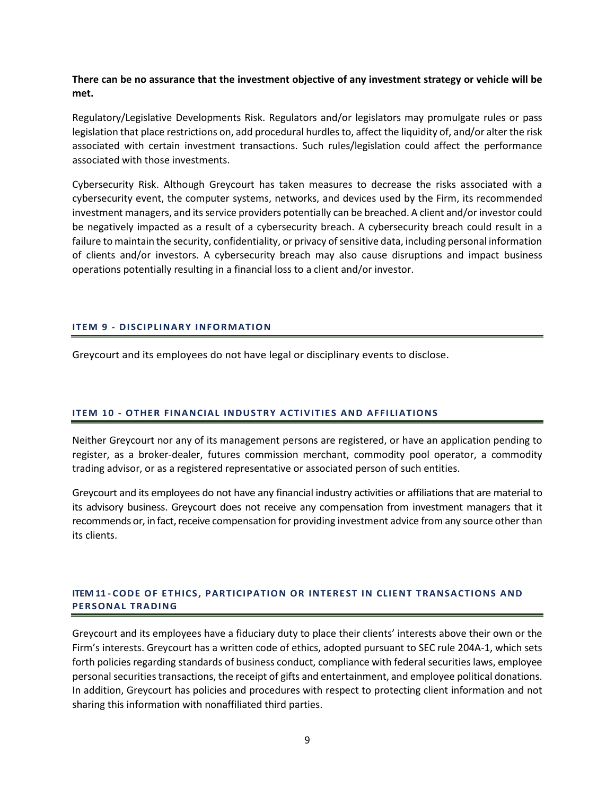**There can be no assurance that the investment objective of any investment strategy or vehicle will be met.**

Regulatory/Legislative Developments Risk. Regulators and/or legislators may promulgate rules or pass legislation that place restrictions on, add procedural hurdles to, affect the liquidity of, and/or alter the risk associated with certain investment transactions. Such rules/legislation could affect the performance associated with those investments.

Cybersecurity Risk. Although Greycourt has taken measures to decrease the risks associated with a cybersecurity event, the computer systems, networks, and devices used by the Firm, its recommended investment managers, and its service providers potentially can be breached. A client and/or investor could be negatively impacted as a result of a cybersecurity breach. A cybersecurity breach could result in a failure to maintain the security, confidentiality, or privacy of sensitive data, including personal information of clients and/or investors. A cybersecurity breach may also cause disruptions and impact business operations potentially resulting in a financial loss to a client and/or investor.

### <span id="page-10-0"></span>**ITEM 9 - DISCIPLINARY INFORMATION**

Greycourt and its employees do not have legal or disciplinary events to disclose.

### <span id="page-10-1"></span>**ITEM 10 - OTHER FINANCIAL INDUSTRY ACTIVITIES AND AFFILIATIONS**

Neither Greycourt nor any of its management persons are registered, or have an application pending to register, as a broker-dealer, futures commission merchant, commodity pool operator, a commodity trading advisor, or as a registered representative or associated person of such entities.

Greycourt and its employees do not have any financial industry activities or affiliations that are material to its advisory business. Greycourt does not receive any compensation from investment managers that it recommends or, in fact, receive compensation for providing investment advice from any source other than its clients.

# <span id="page-10-2"></span>**ITEM 11 - CODE OF ETHICS, PARTICIPATION OR INTEREST IN CLIENT TRANSACTIONS AND PERSONAL TRADING**

Greycourt and its employees have a fiduciary duty to place their clients' interests above their own or the Firm's interests. Greycourt has a written code of ethics, adopted pursuant to SEC rule 204A-1, which sets forth policies regarding standards of business conduct, compliance with federal securities laws, employee personal securities transactions, the receipt of gifts and entertainment, and employee political donations. In addition, Greycourt has policies and procedures with respect to protecting client information and not sharing this information with nonaffiliated third parties.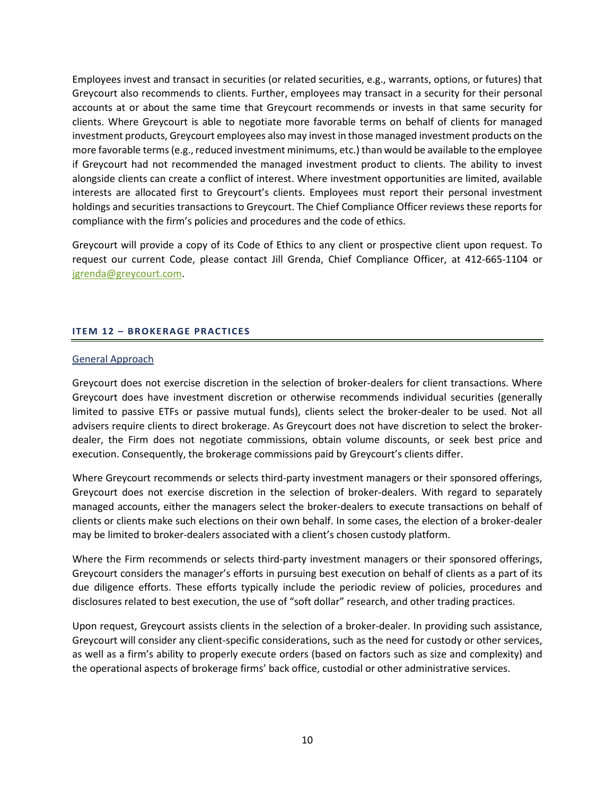Employees invest and transact in securities (or related securities, e.g., warrants, options, or futures) that Greycourt also recommends to clients. Further, employees may transact in a security for their personal accounts at or about the same time that Greycourt recommends or invests in that same security for clients. Where Greycourt is able to negotiate more favorable terms on behalf of clients for managed investment products, Greycourt employees also may invest in those managed investment products on the more favorable terms (e.g., reduced investment minimums, etc.) than would be available to the employee if Greycourt had not recommended the managed investment product to clients. The ability to invest alongside clients can create a conflict of interest. Where investment opportunities are limited, available interests are allocated first to Greycourt's clients. Employees must report their personal investment holdings and securities transactions to Greycourt. The Chief Compliance Officer reviews these reports for compliance with the firm's policies and procedures and the code of ethics.

Greycourt will provide a copy of its Code of Ethics to any client or prospective client upon request. To request our current Code, please contact Jill Grenda, Chief Compliance Officer, at 412-665-1104 or [jgrenda@greycourt.com.](mailto:jgrenda@greycourt.com)

# <span id="page-11-0"></span>**ITEM 12 – BROKERAGE PRACTICES**

## General Approach

Greycourt does not exercise discretion in the selection of broker-dealers for client transactions. Where Greycourt does have investment discretion or otherwise recommends individual securities (generally limited to passive ETFs or passive mutual funds), clients select the broker-dealer to be used. Not all advisers require clients to direct brokerage. As Greycourt does not have discretion to select the brokerdealer, the Firm does not negotiate commissions, obtain volume discounts, or seek best price and execution. Consequently, the brokerage commissions paid by Greycourt's clients differ.

Where Greycourt recommends or selects third-party investment managers or their sponsored offerings, Greycourt does not exercise discretion in the selection of broker-dealers. With regard to separately managed accounts, either the managers select the broker-dealers to execute transactions on behalf of clients or clients make such elections on their own behalf. In some cases, the election of a broker-dealer may be limited to broker-dealers associated with a client's chosen custody platform.

Where the Firm recommends or selects third-party investment managers or their sponsored offerings, Greycourt considers the manager's efforts in pursuing best execution on behalf of clients as a part of its due diligence efforts. These efforts typically include the periodic review of policies, procedures and disclosures related to best execution, the use of "soft dollar" research, and other trading practices.

Upon request, Greycourt assists clients in the selection of a broker-dealer. In providing such assistance, Greycourt will consider any client-specific considerations, such as the need for custody or other services, as well as a firm's ability to properly execute orders (based on factors such as size and complexity) and the operational aspects of brokerage firms' back office, custodial or other administrative services.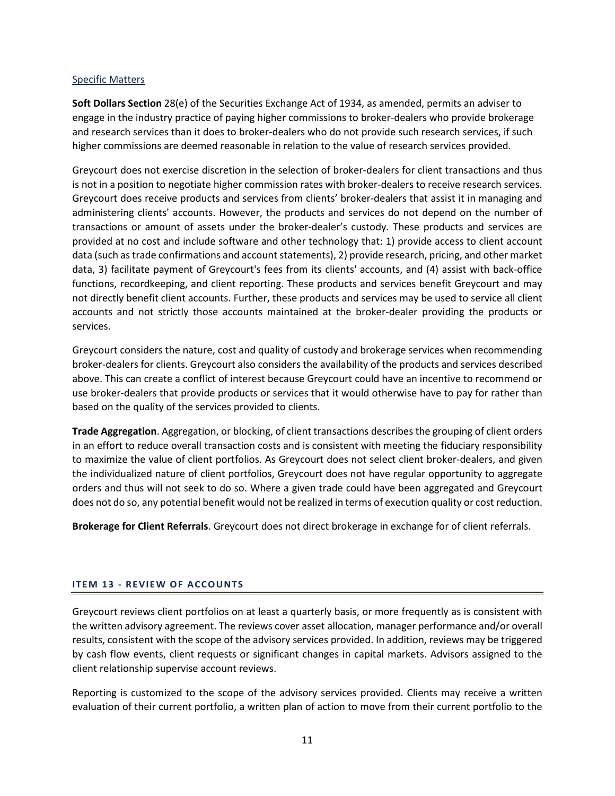## Specific Matters

**Soft Dollars Section** 28(e) of the Securities Exchange Act of 1934, as amended, permits an adviser to engage in the industry practice of paying higher commissions to broker-dealers who provide brokerage and research services than it does to broker-dealers who do not provide such research services, if such higher commissions are deemed reasonable in relation to the value of research services provided.

Greycourt does not exercise discretion in the selection of broker-dealers for client transactions and thus is not in a position to negotiate higher commission rates with broker-dealers to receive research services. Greycourt does receive products and services from clients' broker-dealers that assist it in managing and administering clients' accounts. However, the products and services do not depend on the number of transactions or amount of assets under the broker-dealer's custody. These products and services are provided at no cost and include software and other technology that: 1) provide access to client account data (such as trade confirmations and account statements), 2) provide research, pricing, and other market data, 3) facilitate payment of Greycourt's fees from its clients' accounts, and (4) assist with back-office functions, recordkeeping, and client reporting. These products and services benefit Greycourt and may not directly benefit client accounts. Further, these products and services may be used to service all client accounts and not strictly those accounts maintained at the broker-dealer providing the products or services.

Greycourt considers the nature, cost and quality of custody and brokerage services when recommending broker-dealers for clients. Greycourt also considers the availability of the products and services described above. This can create a conflict of interest because Greycourt could have an incentive to recommend or use broker-dealers that provide products or services that it would otherwise have to pay for rather than based on the quality of the services provided to clients.

**Trade Aggregation**. Aggregation, or blocking, of client transactions describes the grouping of client orders in an effort to reduce overall transaction costs and is consistent with meeting the fiduciary responsibility to maximize the value of client portfolios. As Greycourt does not select client broker-dealers, and given the individualized nature of client portfolios, Greycourt does not have regular opportunity to aggregate orders and thus will not seek to do so. Where a given trade could have been aggregated and Greycourt does not do so, any potential benefit would not be realized in terms of execution quality or cost reduction.

**Brokerage for Client Referrals**. Greycourt does not direct brokerage in exchange for of client referrals.

# <span id="page-12-0"></span>**ITEM 13 - REVIEW OF ACCOUNTS**

Greycourt reviews client portfolios on at least a quarterly basis, or more frequently as is consistent with the written advisory agreement. The reviews cover asset allocation, manager performance and/or overall results, consistent with the scope of the advisory services provided. In addition, reviews may be triggered by cash flow events, client requests or significant changes in capital markets. Advisors assigned to the client relationship supervise account reviews.

Reporting is customized to the scope of the advisory services provided. Clients may receive a written evaluation of their current portfolio, a written plan of action to move from their current portfolio to the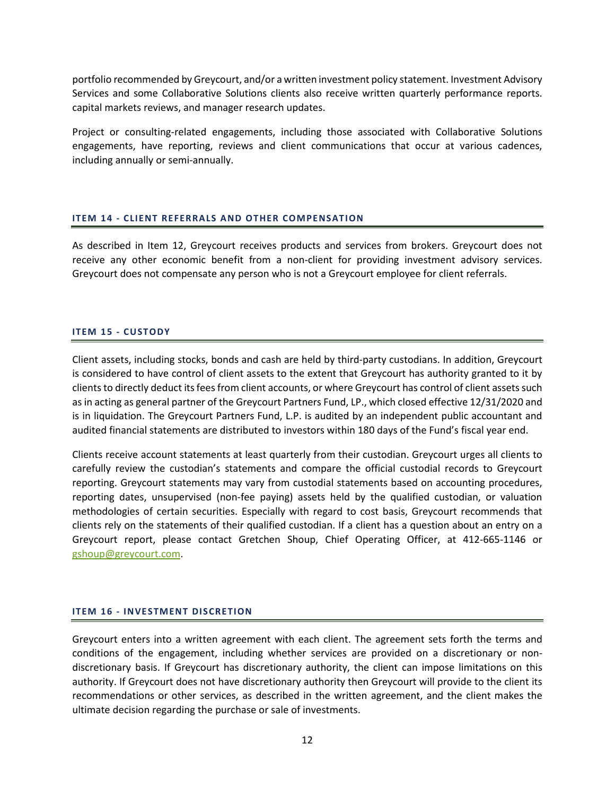portfolio recommended by Greycourt, and/or a written investment policy statement. Investment Advisory Services and some Collaborative Solutions clients also receive written quarterly performance reports. capital markets reviews, and manager research updates.

Project or consulting-related engagements, including those associated with Collaborative Solutions engagements, have reporting, reviews and client communications that occur at various cadences, including annually or semi-annually.

## <span id="page-13-0"></span>**ITEM 14 - CLIENT REFERRALS AND OTHER COMPENSATION**

As described in Item 12, Greycourt receives products and services from brokers. Greycourt does not receive any other economic benefit from a non-client for providing investment advisory services. Greycourt does not compensate any person who is not a Greycourt employee for client referrals.

## <span id="page-13-1"></span>**ITEM 15 - CUSTODY**

Client assets, including stocks, bonds and cash are held by third-party custodians. In addition, Greycourt is considered to have control of client assets to the extent that Greycourt has authority granted to it by clients to directly deduct its fees from client accounts, or where Greycourt has control of client assets such as in acting as general partner of the Greycourt Partners Fund, LP., which closed effective 12/31/2020 and is in liquidation. The Greycourt Partners Fund, L.P. is audited by an independent public accountant and audited financial statements are distributed to investors within 180 days of the Fund's fiscal year end.

Clients receive account statements at least quarterly from their custodian. Greycourt urges all clients to carefully review the custodian's statements and compare the official custodial records to Greycourt reporting. Greycourt statements may vary from custodial statements based on accounting procedures, reporting dates, unsupervised (non-fee paying) assets held by the qualified custodian, or valuation methodologies of certain securities. Especially with regard to cost basis, Greycourt recommends that clients rely on the statements of their qualified custodian. If a client has a question about an entry on a Greycourt report, please contact Gretchen Shoup, Chief Operating Officer, at 412-665-1146 or gshoup@greycourt.com.

### <span id="page-13-2"></span>**ITEM 16 - INVESTMENT DISCRETION**

Greycourt enters into a written agreement with each client. The agreement sets forth the terms and conditions of the engagement, including whether services are provided on a discretionary or nondiscretionary basis. If Greycourt has discretionary authority, the client can impose limitations on this authority. If Greycourt does not have discretionary authority then Greycourt will provide to the client its recommendations or other services, as described in the written agreement, and the client makes the ultimate decision regarding the purchase or sale of investments.